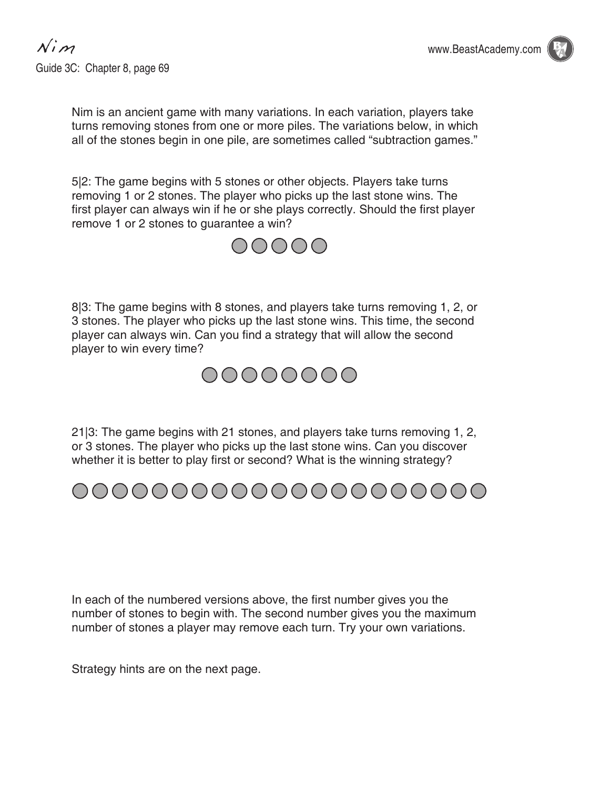

Nim is an ancient game with many variations. In each variation, players take turns removing stones from one or more piles. The variations below, in which all of the stones begin in one pile, are sometimes called "subtraction games."

5|2: The game begins with 5 stones or other objects. Players take turns removing 1 or 2 stones. The player who picks up the last stone wins. The first player can always win if he or she plays correctly. Should the first player remove 1 or 2 stones to guarantee a win?



8|3: The game begins with 8 stones, and players take turns removing 1, 2, or 3 stones. The player who picks up the last stone wins. This time, the second player can always win. Can you find a strategy that will allow the second player to win every time?



21|3: The game begins with 21 stones, and players take turns removing 1, 2, or 3 stones. The player who picks up the last stone wins. Can you discover whether it is better to play first or second? What is the winning strategy?



In each of the numbered versions above, the first number gives you the number of stones to begin with. The second number gives you the maximum number of stones a player may remove each turn. Try your own variations.

Strategy hints are on the next page.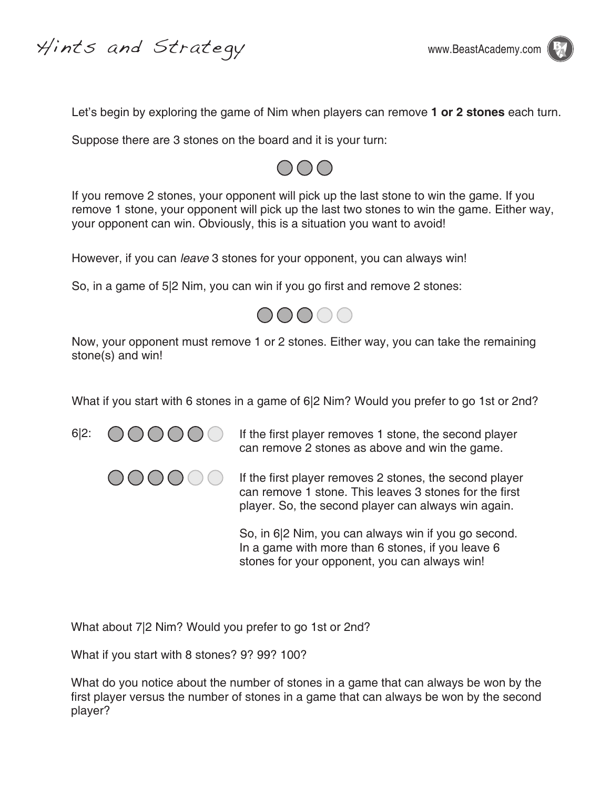Hints and Strategy www.BeastAcademy.com



Let's begin by exploring the game of Nim when players can remove **1 or 2 stones** each turn.

Suppose there are 3 stones on the board and it is your turn:



If you remove 2 stones, your opponent will pick up the last stone to win the game. If you remove 1 stone, your opponent will pick up the last two stones to win the game. Either way, your opponent can win. Obviously, this is a situation you want to avoid!

However, if you can *leave* 3 stones for your opponent, you can always win!

So, in a game of 5|2 Nim, you can win if you go first and remove 2 stones:



Now, your opponent must remove 1 or 2 stones. Either way, you can take the remaining stone(s) and win!

What if you start with 6 stones in a game of 6|2 Nim? Would you prefer to go 1st or 2nd?





6|2:  $\bigcirc$   $\bigcirc$   $\bigcirc$   $\bigcirc$   $\bigcirc$   $\bigcirc$  If the first player removes 1 stone, the second player can remove 2 stones as above and win the game.

OOOO If the first player removes 2 stones, the second player can remove 1 stone. This leaves 3 stones for the first player. So, the second player can always win again.

> So, in 6|2 Nim, you can always win if you go second. In a game with more than 6 stones, if you leave 6 stones for your opponent, you can always win!

What about 7|2 Nim? Would you prefer to go 1st or 2nd?

What if you start with 8 stones? 9? 99? 100?

What do you notice about the number of stones in a game that can always be won by the first player versus the number of stones in a game that can always be won by the second player?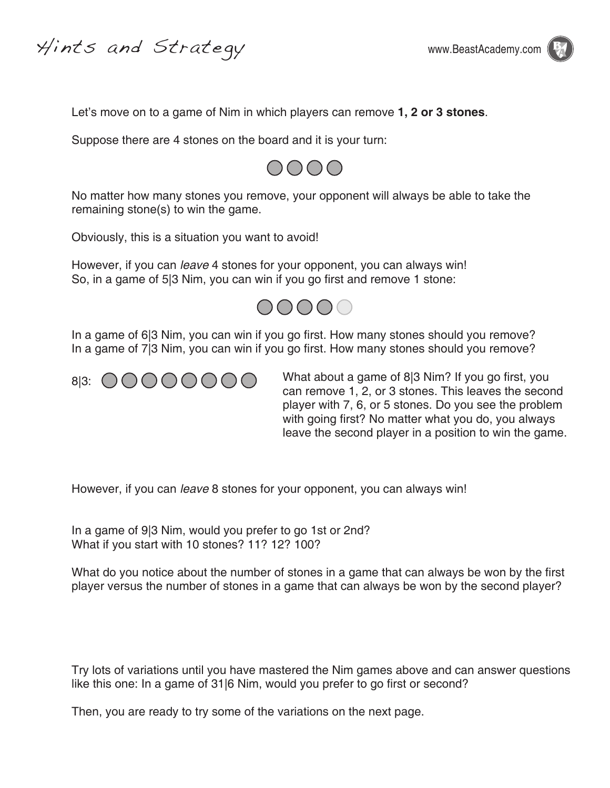Hints and Strategy www.BeastAcademy.com



Let's move on to a game of Nim in which players can remove **1, 2 or 3 stones**.

Suppose there are 4 stones on the board and it is your turn:



No matter how many stones you remove, your opponent will always be able to take the remaining stone(s) to win the game.

Obviously, this is a situation you want to avoid!

However, if you can *leave* 4 stones for your opponent, you can always win! So, in a game of 5|3 Nim, you can win if you go first and remove 1 stone:



In a game of 6|3 Nim, you can win if you go first. How many stones should you remove? In a game of 7|3 Nim, you can win if you go first. How many stones should you remove?



What about a game of 8|3 Nim? If you go first, you can remove 1, 2, or 3 stones. This leaves the second player with 7, 6, or 5 stones. Do you see the problem with going first? No matter what you do, you always leave the second player in a position to win the game.

However, if you can *leave* 8 stones for your opponent, you can always win!

In a game of 9|3 Nim, would you prefer to go 1st or 2nd? What if you start with 10 stones? 11? 12? 100?

What do you notice about the number of stones in a game that can always be won by the first player versus the number of stones in a game that can always be won by the second player?

Try lots of variations until you have mastered the Nim games above and can answer questions like this one: In a game of 31|6 Nim, would you prefer to go first or second?

Then, you are ready to try some of the variations on the next page.